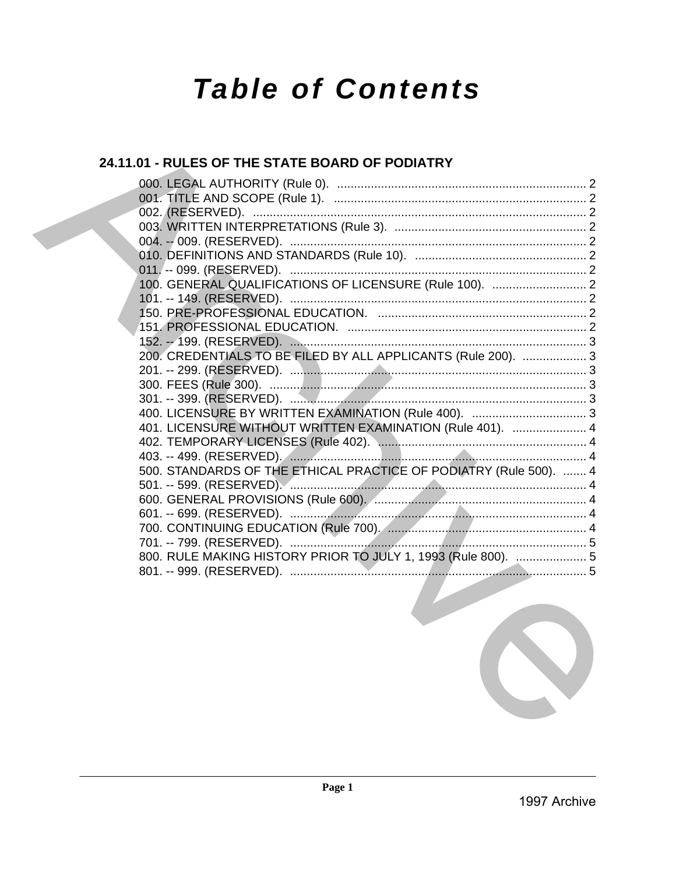# **Table of Contents**

# 24.11.01 - RULES OF THE STATE BOARD OF PODIATRY

| 100. GENERAL QUALIFICATIONS OF LICENSURE (Rule 100).  2           |  |
|-------------------------------------------------------------------|--|
|                                                                   |  |
|                                                                   |  |
|                                                                   |  |
|                                                                   |  |
| 200. CREDENTIALS TO BE FILED BY ALL APPLICANTS (Rule 200).  3     |  |
|                                                                   |  |
|                                                                   |  |
|                                                                   |  |
|                                                                   |  |
| 401. LICENSURE WITHOUT WRITTEN EXAMINATION (Rule 401).  4         |  |
|                                                                   |  |
|                                                                   |  |
| 500. STANDARDS OF THE ETHICAL PRACTICE OF PODIATRY (Rule 500).  4 |  |
|                                                                   |  |
|                                                                   |  |
|                                                                   |  |
|                                                                   |  |
|                                                                   |  |
| 800. RULE MAKING HISTORY PRIOR TO JULY 1, 1993 (Rule 800).  5     |  |
|                                                                   |  |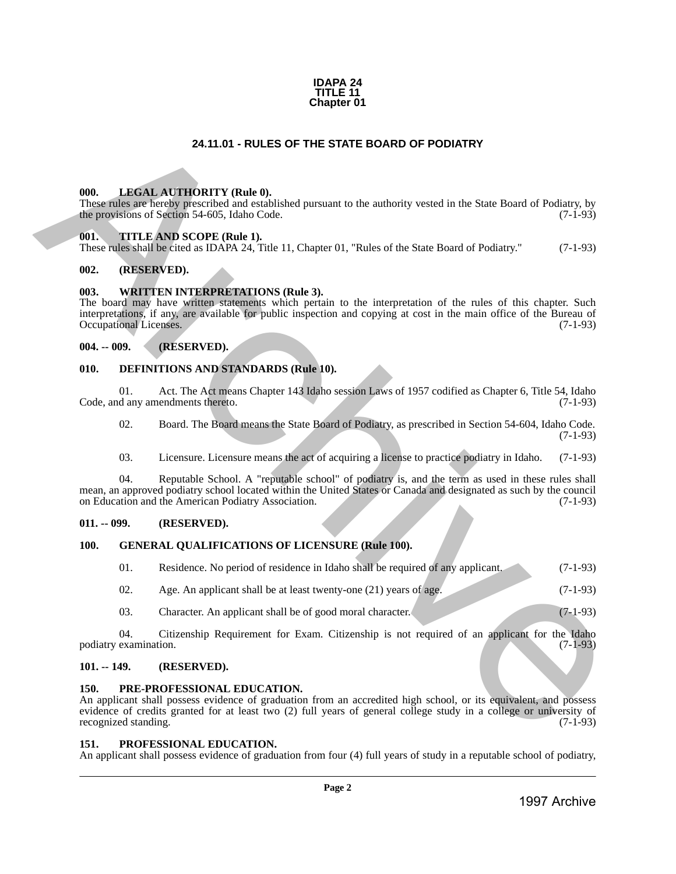#### **IDAPA 24 TITLE 11 Chapter 01**

### **24.11.01 - RULES OF THE STATE BOARD OF PODIATRY**

#### <span id="page-1-1"></span>**000. LEGAL AUTHORITY (Rule 0).**

These rules are hereby prescribed and established pursuant to the authority vested in the State Board of Podiatry, by the provisions of Section 54-605, Idaho Code. (7-1-93)

#### <span id="page-1-2"></span>**001. TITLE AND SCOPE (Rule 1).**

These rules shall be cited as IDAPA 24, Title 11, Chapter 01, "Rules of the State Board of Podiatry." (7-1-93)

#### <span id="page-1-3"></span>**002. (RESERVED).**

#### <span id="page-1-4"></span>**003. WRITTEN INTERPRETATIONS (Rule 3).**

<span id="page-1-0"></span>The board may have written statements which pertain to the interpretation of the rules of this chapter. Such interpretations, if any, are available for public inspection and copying at cost in the main office of the Bureau of Occupational Licenses. (7-1-93) 24.11.01 • RUES OF THE STATE BOARD OF PODIATRY<br>
1998. LIBERAL ATHORITY (Rele 0),<br>
Encoration at Security Rele 0),<br>
increase the same board of Nulling by<br>
Survey Context (Poiss), and Context (Poiss),<br>
one context in the Su

#### <span id="page-1-5"></span>**004. -- 009. (RESERVED).**

#### <span id="page-1-6"></span>**010. DEFINITIONS AND STANDARDS (Rule 10).**

01. Act. The Act means Chapter 143 Idaho session Laws of 1957 codified as Chapter 6, Title 54, Idaho d any amendments thereto. (7-1-93) Code, and any amendments thereto.

02. Board. The Board means the State Board of Podiatry, as prescribed in Section 54-604, Idaho Code. (7-1-93)

03. Licensure. Licensure means the act of acquiring a license to practice podiatry in Idaho. (7-1-93)

04. Reputable School. A "reputable school" of podiatry is, and the term as used in these rules shall mean, an approved podiatry school located within the United States or Canada and designated as such by the council on Education and the American Podiatry Association.

#### <span id="page-1-7"></span>**011. -- 099. (RESERVED).**

#### <span id="page-1-8"></span>**100. GENERAL QUALIFICATIONS OF LICENSURE (Rule 100).**

| -01. | Residence. No period of residence in Idaho shall be required of any applicant. | $(7-1-93)$ |
|------|--------------------------------------------------------------------------------|------------|
| 02.  | Age. An applicant shall be at least twenty-one $(21)$ years of age.            | $(7-1-93)$ |

03. Character. An applicant shall be of good moral character. (7-1-93)

04. Citizenship Requirement for Exam. Citizenship is not required of an applicant for the Idaho podiatry examination. (7-1-93)

#### <span id="page-1-9"></span>**101. -- 149. (RESERVED).**

#### <span id="page-1-10"></span>**150. PRE-PROFESSIONAL EDUCATION.**

An applicant shall possess evidence of graduation from an accredited high school, or its equivalent, and possess evidence of credits granted for at least two (2) full years of general college study in a college or university of recognized standing. (7-1-93) recognized standing.

#### <span id="page-1-11"></span>**151. PROFESSIONAL EDUCATION.**

An applicant shall possess evidence of graduation from four (4) full years of study in a reputable school of podiatry,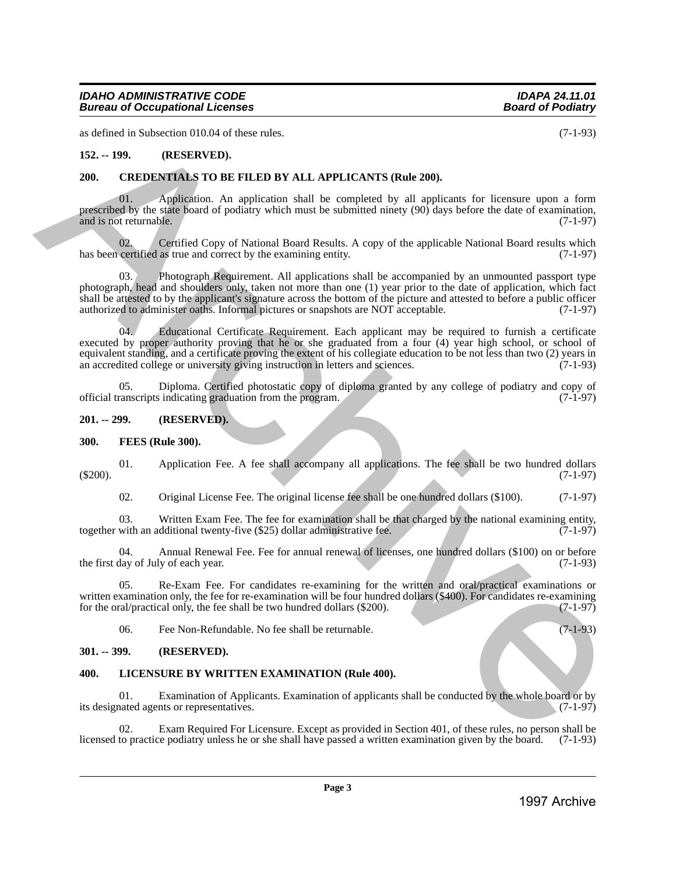as defined in Subsection 010.04 of these rules. (7-1-93)

#### <span id="page-2-0"></span>**152. -- 199. (RESERVED).**

#### <span id="page-2-1"></span>**200. CREDENTIALS TO BE FILED BY ALL APPLICANTS (Rule 200).**

01. Application. An application shall be completed by all applicants for licensure upon a form prescribed by the state board of podiatry which must be submitted ninety (90) days before the date of examination, and is not returnable. (7-1-97) and is not returnable.

02. Certified Copy of National Board Results. A copy of the applicable National Board results which certified as true and correct by the examining entity. (7-1-97) has been certified as true and correct by the examining entity.

03. Photograph Requirement. All applications shall be accompanied by an unmounted passport type photograph, head and shoulders only, taken not more than one (1) year prior to the date of application, which fact shall be attested to by the applicant's signature across the bottom of the picture and attested to before a public officer authorized to administer oaths. Informal pictures or snapshots are NOT acceptable. (7-1-97) authorized to administer oaths. Informal pictures or snapshots are NOT acceptable.

04. Educational Certificate Requirement. Each applicant may be required to furnish a certificate executed by proper authority proving that he or she graduated from a four (4) year high school, or school of equivalent standing, and a certificate proving the extent of his collegiate education to be not less than two (2) years in<br>an accredited college or university giving instruction in letters and sciences. (7-1-93) an accredited college or university giving instruction in letters and sciences. **1997 B. C. 1993**<br>
1997 C. 1998 C. 1997 C. 1997 C. 1997 C. 1997 C. 1997 C. 1997 C. 1997 C. 1997 C. 1997 C. 1997<br>
1997 C. 1997 C. 1997 C. 1997 C. 1997 C. 1997 C. 1997 C. 1997 C. 1997 C. 1997 C. 1997 C. 1997 C. 1997 C. 199

05. Diploma. Certified photostatic copy of diploma granted by any college of podiatry and copy of official transcripts indicating graduation from the program. (7-1-97)

#### <span id="page-2-2"></span>**201. -- 299. (RESERVED).**

#### <span id="page-2-3"></span>**300. FEES (Rule 300).**

01. Application Fee. A fee shall accompany all applications. The fee shall be two hundred dollars (7-1-97) (\$200). (7-1-97)

02. Original License Fee. The original license fee shall be one hundred dollars (\$100). (7-1-97)

03. Written Exam Fee. The fee for examination shall be that charged by the national examining entity, with an additional twenty-five (\$25) dollar administrative fee. (7-1-97) together with an additional twenty-five  $(\$25)$  dollar administrative fee.

04. Annual Renewal Fee. Fee for annual renewal of licenses, one hundred dollars (\$100) on or before day of July of each year. (7-1-93) the first day of July of each year.

05. Re-Exam Fee. For candidates re-examining for the written and oral/practical examinations or written examination only, the fee for re-examination will be four hundred dollars (\$400). For candidates re-examining for the oral/practical only, the fee shall be two hundred dollars (\$200). (7-1-97) for the oral/practical only, the fee shall be two hundred dollars  $(\$200)$ .

06. Fee Non-Refundable. No fee shall be returnable. (7-1-93)

#### <span id="page-2-4"></span>**301. -- 399. (RESERVED).**

#### <span id="page-2-5"></span>**400. LICENSURE BY WRITTEN EXAMINATION (Rule 400).**

01. Examination of Applicants. Examination of applicants shall be conducted by the whole board or by nated agents or representatives. (7-1-97) its designated agents or representatives.

02. Exam Required For Licensure. Except as provided in Section 401, of these rules, no person shall be to practice podiatry unless he or she shall have passed a written examination given by the board. (7-1-93) licensed to practice podiatry unless he or she shall have passed a written examination given by the board.

**Page 3**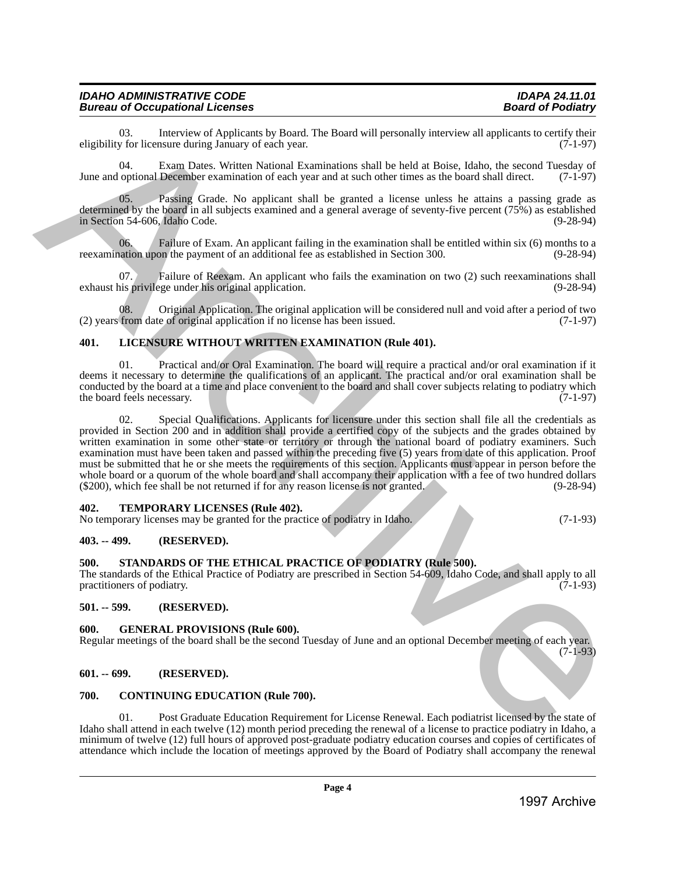## *IDAHO ADMINISTRATIVE CODE IDAPA 24.11.01 Bureau of Occupational Licenses*

03. Interview of Applicants by Board. The Board will personally interview all applicants to certify their v for licensure during January of each year. eligibility for licensure during January of each year.

04. Exam Dates. Written National Examinations shall be held at Boise, Idaho, the second Tuesday of June and optional December examination of each year and at such other times as the board shall direct. (7-1-97)

05. Passing Grade. No applicant shall be granted a license unless he attains a passing grade as determined by the board in all subjects examined and a general average of seventy-five percent (75%) as established in Section 54-606, Idaho Code.

06. Failure of Exam. An applicant failing in the examination shall be entitled within six (6) months to a nation upon the payment of an additional fee as established in Section 300. (9-28-94) reexamination upon the payment of an additional fee as established in Section 300.

Failure of Reexam. An applicant who fails the examination on two (2) such reexaminations shall exhaust his privilege under his original application. (9-28-94)

08. Original Application. The original application will be considered null and void after a period of two from date of original application if no license has been issued. (7-1-97) (2) years from date of original application if no license has been issued.

#### <span id="page-3-0"></span>**401. LICENSURE WITHOUT WRITTEN EXAMINATION (Rule 401).**

01. Practical and/or Oral Examination. The board will require a practical and/or oral examination if it deems it necessary to determine the qualifications of an applicant. The practical and/or oral examination shall be conducted by the board at a time and place convenient to the board and shall cover subjects relating to podiatry which the board feels necessary. (7-1-97) (3) the board feels necessary. (3) the board feels necessary.

02. Special Qualifications. Applicants for licensure under this section shall file all the credentials as provided in Section 200 and in addition shall provide a certified copy of the subjects and the grades obtained by written examination in some other state or territory or through the national board of podiatry examiners. Such examination must have been taken and passed within the preceding five (5) years from date of this application. Proof must be submitted that he or she meets the requirements of this section. Applicants must appear in person before the whole board or a quorum of the whole board and shall accompany their application with a fee of two hundred dollars (\$200), which fee shall be not returned if for any reason license is not granted. (9-28-94)  $(\$200)$ , which fee shall be not returned if for any reason license is not granted. Nightang for incomes of Application de Beaul in Beauti will present by the controller intervention of  $\frac{1}{12}$ <br>
The and optical because the state of Application de Beauti will be the state in the state of Application de

#### <span id="page-3-1"></span>**402. TEMPORARY LICENSES (Rule 402).**

No temporary licenses may be granted for the practice of podiatry in Idaho. (7-1-93)

#### <span id="page-3-2"></span>**403. -- 499. (RESERVED).**

#### <span id="page-3-3"></span>**500. STANDARDS OF THE ETHICAL PRACTICE OF PODIATRY (Rule 500).**

The standards of the Ethical Practice of Podiatry are prescribed in Section 54-609, Idaho Code, and shall apply to all practitioners of podiatry.

#### <span id="page-3-4"></span>**501. -- 599. (RESERVED).**

#### <span id="page-3-5"></span>**600. GENERAL PROVISIONS (Rule 600).**

Regular meetings of the board shall be the second Tuesday of June and an optional December meeting of each year.

#### <span id="page-3-6"></span>**601. -- 699. (RESERVED).**

#### <span id="page-3-7"></span>**700. CONTINUING EDUCATION (Rule 700).**

01. Post Graduate Education Requirement for License Renewal. Each podiatrist licensed by the state of Idaho shall attend in each twelve (12) month period preceding the renewal of a license to practice podiatry in Idaho, a minimum of twelve (12) full hours of approved post-graduate podiatry education courses and copies of certificates of attendance which include the location of meetings approved by the Board of Podiatry shall accompany the renewal

(7-1-93)